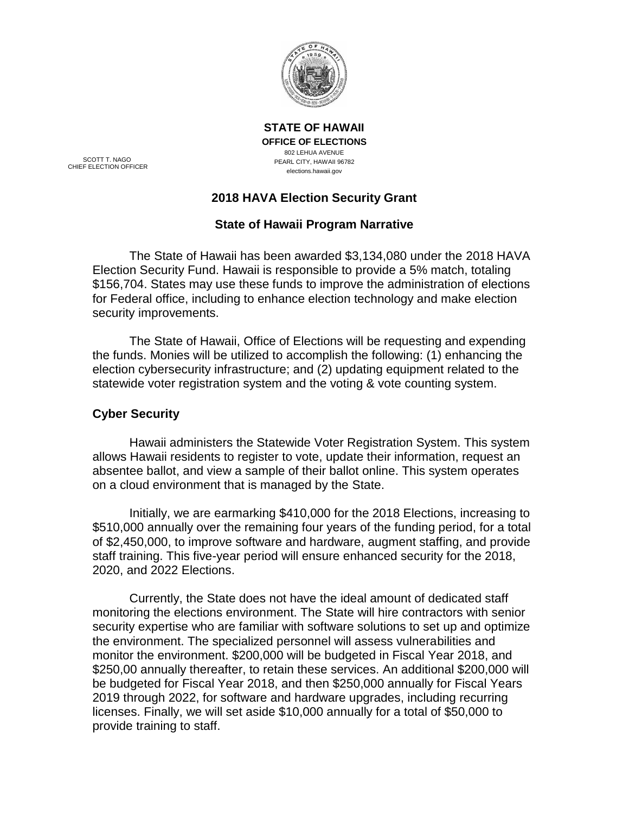

SCOTT T. NAGO CHIEF ELECTION OFFICER **OFFICE OF ELECTIONS** 802 LEHUA AVENUE PEARL CITY, HAWAII 96782 elections.hawaii.gov

**STATE OF HAWAII**

# **2018 HAVA Election Security Grant**

# **State of Hawaii Program Narrative**

The State of Hawaii has been awarded \$3,134,080 under the 2018 HAVA Election Security Fund. Hawaii is responsible to provide a 5% match, totaling \$156,704. States may use these funds to improve the administration of elections for Federal office, including to enhance election technology and make election security improvements.

The State of Hawaii, Office of Elections will be requesting and expending the funds. Monies will be utilized to accomplish the following: (1) enhancing the election cybersecurity infrastructure; and (2) updating equipment related to the statewide voter registration system and the voting & vote counting system.

# **Cyber Security**

Hawaii administers the Statewide Voter Registration System. This system allows Hawaii residents to register to vote, update their information, request an absentee ballot, and view a sample of their ballot online. This system operates on a cloud environment that is managed by the State.

Initially, we are earmarking \$410,000 for the 2018 Elections, increasing to \$510,000 annually over the remaining four years of the funding period, for a total of \$2,450,000, to improve software and hardware, augment staffing, and provide staff training. This five-year period will ensure enhanced security for the 2018, 2020, and 2022 Elections.

Currently, the State does not have the ideal amount of dedicated staff monitoring the elections environment. The State will hire contractors with senior security expertise who are familiar with software solutions to set up and optimize the environment. The specialized personnel will assess vulnerabilities and monitor the environment. \$200,000 will be budgeted in Fiscal Year 2018, and \$250,00 annually thereafter, to retain these services. An additional \$200,000 will be budgeted for Fiscal Year 2018, and then \$250,000 annually for Fiscal Years 2019 through 2022, for software and hardware upgrades, including recurring licenses. Finally, we will set aside \$10,000 annually for a total of \$50,000 to provide training to staff.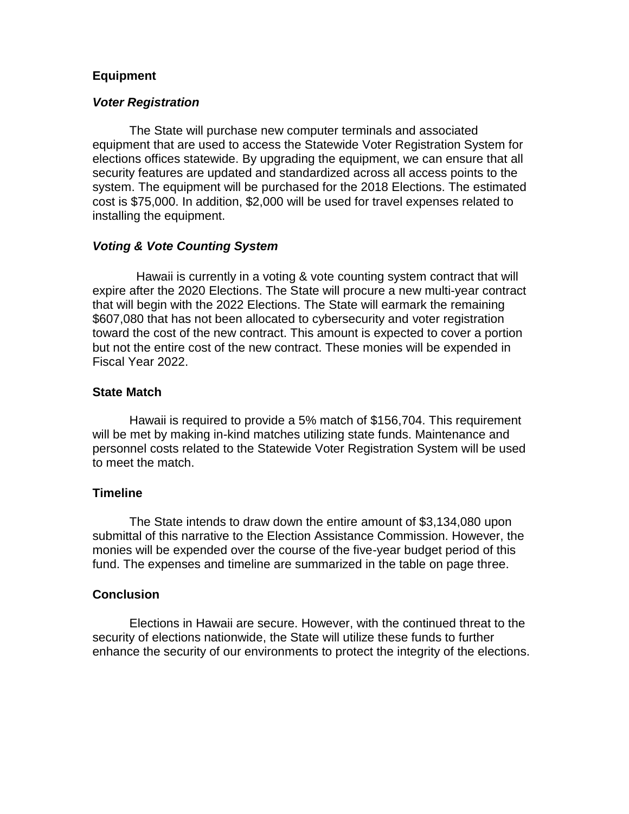### **Equipment**

#### *Voter Registration*

The State will purchase new computer terminals and associated equipment that are used to access the Statewide Voter Registration System for elections offices statewide. By upgrading the equipment, we can ensure that all security features are updated and standardized across all access points to the system. The equipment will be purchased for the 2018 Elections. The estimated cost is \$75,000. In addition, \$2,000 will be used for travel expenses related to installing the equipment.

#### *Voting & Vote Counting System*

 Hawaii is currently in a voting & vote counting system contract that will expire after the 2020 Elections. The State will procure a new multi-year contract that will begin with the 2022 Elections. The State will earmark the remaining \$607,080 that has not been allocated to cybersecurity and voter registration toward the cost of the new contract. This amount is expected to cover a portion but not the entire cost of the new contract. These monies will be expended in Fiscal Year 2022.

#### **State Match**

Hawaii is required to provide a 5% match of \$156,704. This requirement will be met by making in-kind matches utilizing state funds. Maintenance and personnel costs related to the Statewide Voter Registration System will be used to meet the match.

#### **Timeline**

The State intends to draw down the entire amount of \$3,134,080 upon submittal of this narrative to the Election Assistance Commission. However, the monies will be expended over the course of the five-year budget period of this fund. The expenses and timeline are summarized in the table on page three.

#### **Conclusion**

Elections in Hawaii are secure. However, with the continued threat to the security of elections nationwide, the State will utilize these funds to further enhance the security of our environments to protect the integrity of the elections.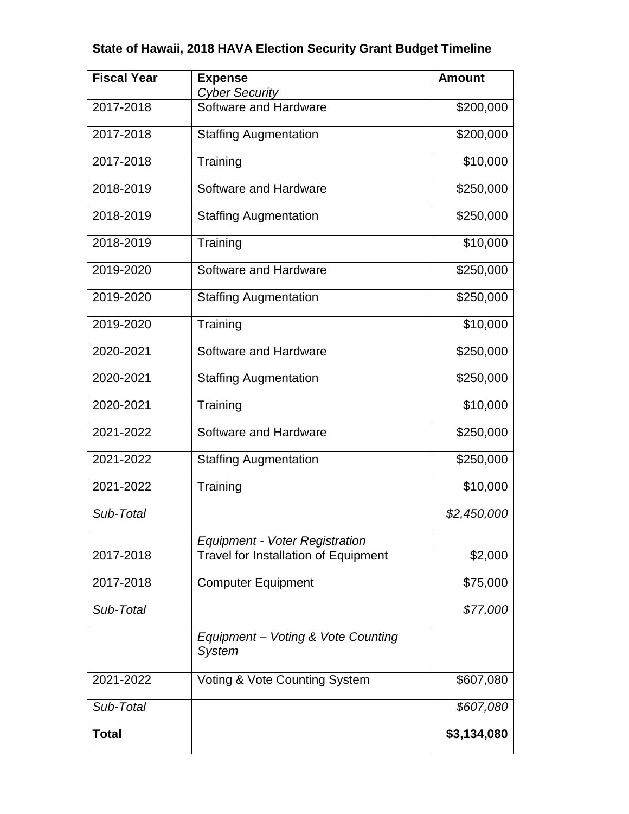# **State of Hawaii, 2018 HAVA Election Security Grant Budget Timeline**

| <b>Fiscal Year</b> | <b>Expense</b>                                      | <b>Amount</b> |
|--------------------|-----------------------------------------------------|---------------|
|                    | <b>Cyber Security</b>                               |               |
| 2017-2018          | Software and Hardware                               | \$200,000     |
| 2017-2018          | <b>Staffing Augmentation</b>                        | \$200,000     |
| 2017-2018          | Training                                            | \$10,000      |
| 2018-2019          | Software and Hardware                               | \$250,000     |
| 2018-2019          | <b>Staffing Augmentation</b>                        | \$250,000     |
| 2018-2019          | Training                                            | \$10,000      |
| 2019-2020          | Software and Hardware                               | \$250,000     |
| 2019-2020          | <b>Staffing Augmentation</b>                        | \$250,000     |
| 2019-2020          | Training                                            | \$10,000      |
| 2020-2021          | Software and Hardware                               | \$250,000     |
| 2020-2021          | <b>Staffing Augmentation</b>                        | \$250,000     |
| 2020-2021          | Training                                            | \$10,000      |
| 2021-2022          | Software and Hardware                               | \$250,000     |
| 2021-2022          | <b>Staffing Augmentation</b>                        | \$250,000     |
| 2021-2022          | Training                                            | \$10,000      |
| Sub-Total          |                                                     | \$2,450,000   |
|                    | <b>Equipment - Voter Registration</b>               |               |
| 2017-2018          | <b>Travel for Installation of Equipment</b>         | \$2,000       |
| 2017-2018          | <b>Computer Equipment</b>                           | \$75,000      |
| Sub-Total          |                                                     | \$77,000      |
|                    | Equipment - Voting & Vote Counting<br><b>System</b> |               |
| 2021-2022          | Voting & Vote Counting System                       | \$607,080     |
| Sub-Total          |                                                     | \$607,080     |
| <b>Total</b>       |                                                     | \$3,134,080   |